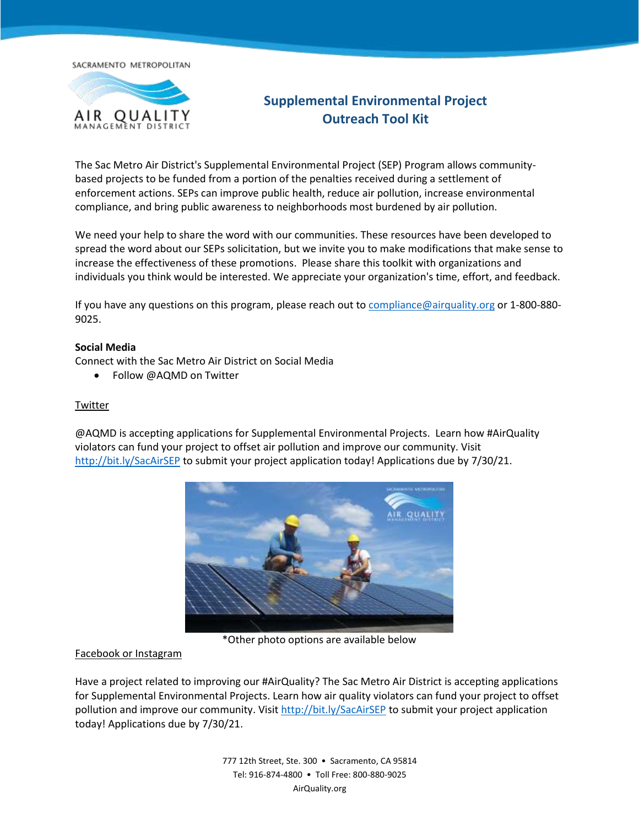SACRAMENTO METROPOLITAN



# **Supplemental Environmental Project Outreach Tool Kit**

The Sac Metro Air District's Supplemental Environmental Project (SEP) Program allows communitybased projects to be funded from a portion of the penalties received during a settlement of enforcement actions. SEPs can improve public health, reduce air pollution, increase environmental compliance, and bring public awareness to neighborhoods most burdened by air pollution.

We need your help to share the word with our communities. These resources have been developed to spread the word about our SEPs solicitation, but we invite you to make modifications that make sense to increase the effectiveness of these promotions. Please share this toolkit with organizations and individuals you think would be interested. We appreciate your organization's time, effort, and feedback.

If you have any questions on this program, please reach out to [compliance@airquality.org](mailto:compliance@airquality.org) or 1-800-880- 9025.

#### **Social Media**

Connect with the Sac Metro Air District on Social Media

• Follow @AQMD on Twitter

#### Twitter

@AQMD is accepting applications for Supplemental Environmental Projects. Learn how #AirQuality violators can fund your project to offset air pollution and improve our community. Visit <http://bit.ly/SacAirSEP> to submit your project application today! Applications due by 7/30/21.



\*Other photo options are available below

#### Facebook or Instagram

Have a project related to improving our #AirQuality? The Sac Metro Air District is accepting applications for Supplemental Environmental Projects. Learn how air quality violators can fund your project to offset pollution and improve our community. Visit<http://bit.ly/SacAirSEP> to submit your project application today! Applications due by 7/30/21.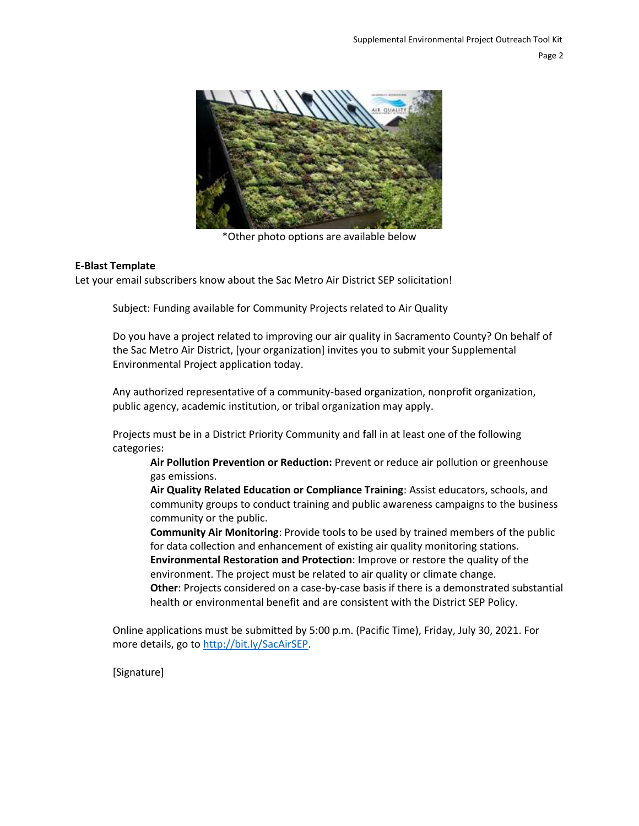

\*Other photo options are available below

#### **E-Blast Template**

Let your email subscribers know about the Sac Metro Air District SEP solicitation!

Subject: Funding available for Community Projects related to Air Quality

Do you have a project related to improving our air quality in Sacramento County? On behalf of the Sac Metro Air District, [your organization] invites you to submit your Supplemental Environmental Project application today.

Any authorized representative of a community-based organization, nonprofit organization, public agency, academic institution, or tribal organization may apply.

Projects must be in a District Priority Community and fall in at least one of the following categories:

**Air Pollution Prevention or Reduction:** Prevent or reduce air pollution or greenhouse gas emissions.

**Air Quality Related Education or Compliance Training**: Assist educators, schools, and community groups to conduct training and public awareness campaigns to the business community or the public.

**Community Air Monitoring**: Provide tools to be used by trained members of the public for data collection and enhancement of existing air quality monitoring stations. **Environmental Restoration and Protection**: Improve or restore the quality of the environment. The project must be related to air quality or climate change. **Other**: Projects considered on a case-by-case basis if there is a demonstrated substantial health or environmental benefit and are consistent with the District SEP Policy.

Online applications must be submitted by 5:00 p.m. (Pacific Time), Friday, July 30, 2021. For more details, go t[o http://bit.ly/SacAirSEP.](http://bit.ly/SacAirSEP)

[Signature]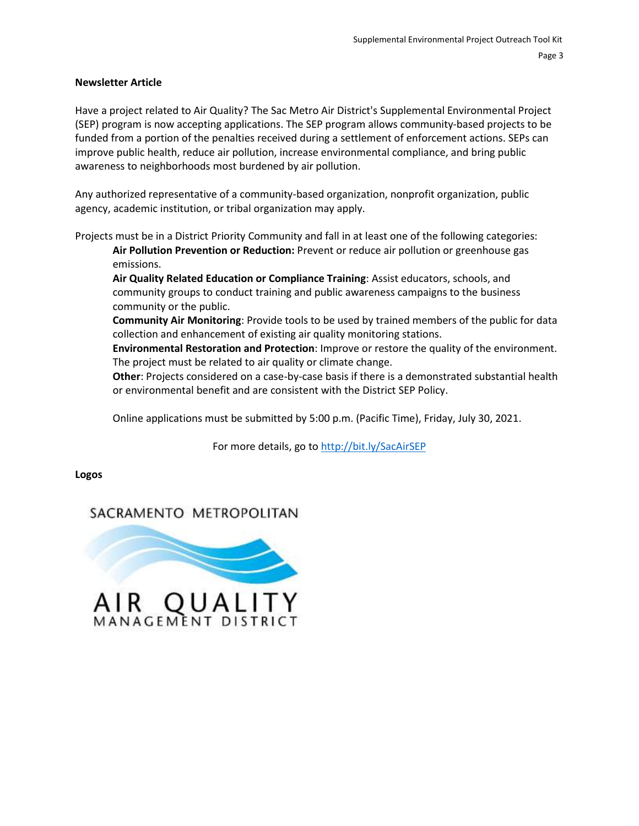#### **Newsletter Article**

Have a project related to Air Quality? The Sac Metro Air District's Supplemental Environmental Project (SEP) program is now accepting applications. The SEP program allows community-based projects to be funded from a portion of the penalties received during a settlement of enforcement actions. SEPs can improve public health, reduce air pollution, increase environmental compliance, and bring public awareness to neighborhoods most burdened by air pollution.

Any authorized representative of a community-based organization, nonprofit organization, public agency, academic institution, or tribal organization may apply.

Projects must be in a District Priority Community and fall in at least one of the following categories:

**Air Pollution Prevention or Reduction:** Prevent or reduce air pollution or greenhouse gas emissions.

**Air Quality Related Education or Compliance Training**: Assist educators, schools, and community groups to conduct training and public awareness campaigns to the business community or the public.

**Community Air Monitoring**: Provide tools to be used by trained members of the public for data collection and enhancement of existing air quality monitoring stations.

**Environmental Restoration and Protection**: Improve or restore the quality of the environment. The project must be related to air quality or climate change.

**Other**: Projects considered on a case-by-case basis if there is a demonstrated substantial health or environmental benefit and are consistent with the District SEP Policy.

Online applications must be submitted by 5:00 p.m. (Pacific Time), Friday, July 30, 2021.

For more details, go t[o http://bit.ly/SacAirSEP](http://bit.ly/SacAirSEP)

**Logos**

## SACRAMENTO METROPOLITAN